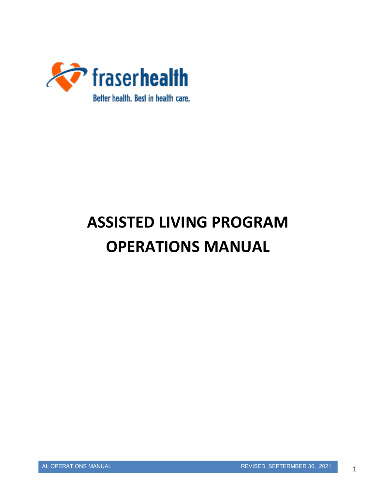

# **ASSISTED LIVING PROGRAM OPERATIONS MANUAL**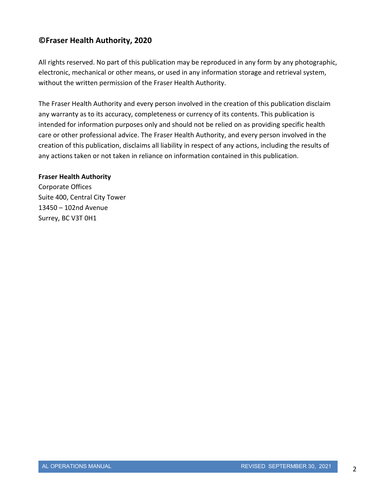# **©Fraser Health Authority, 2020**

All rights reserved. No part of this publication may be reproduced in any form by any photographic, electronic, mechanical or other means, or used in any information storage and retrieval system, without the written permission of the Fraser Health Authority.

The Fraser Health Authority and every person involved in the creation of this publication disclaim any warranty as to its accuracy, completeness or currency of its contents. This publication is intended for information purposes only and should not be relied on as providing specific health care or other professional advice. The Fraser Health Authority, and every person involved in the creation of this publication, disclaims all liability in respect of any actions, including the results of any actions taken or not taken in reliance on information contained in this publication.

#### **Fraser Health Authority**

Corporate Offices Suite 400, Central City Tower 13450 – 102nd Avenue Surrey, BC V3T 0H1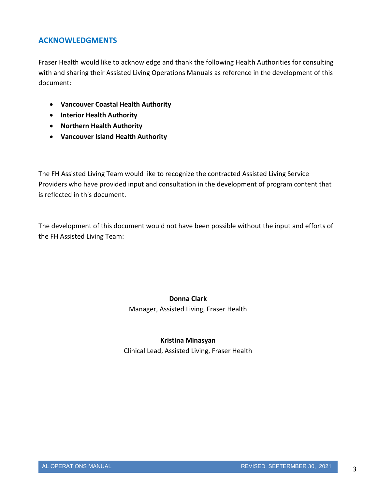## **ACKNOWLEDGMENTS**

Fraser Health would like to acknowledge and thank the following Health Authorities for consulting with and sharing their Assisted Living Operations Manuals as reference in the development of this document:

- **Vancouver Coastal Health Authority**
- **Interior Health Authority**
- **Northern Health Authority**
- **Vancouver Island Health Authority**

The FH Assisted Living Team would like to recognize the contracted Assisted Living Service Providers who have provided input and consultation in the development of program content that is reflected in this document.

The development of this document would not have been possible without the input and efforts of the FH Assisted Living Team:

#### **Donna Clark**

Manager, Assisted Living, Fraser Health

#### **Kristina Minasyan**

Clinical Lead, Assisted Living, Fraser Health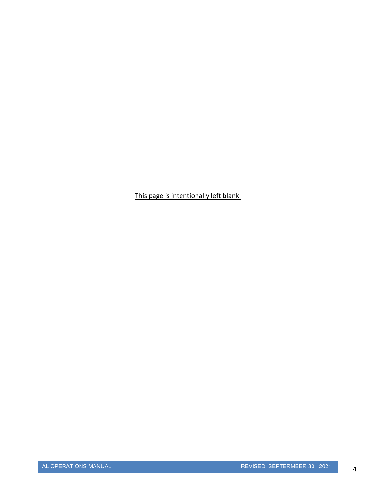This page is intentionally left blank.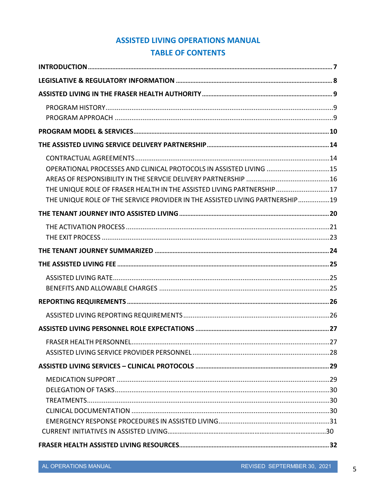# **ASSISTED LIVING OPERATIONS MANUAL**

# **TABLE OF CONTENTS**

| OPERATIONAL PROCESSES AND CLINICAL PROTOCOLS IN ASSISTED LIVING 15           |  |
|------------------------------------------------------------------------------|--|
|                                                                              |  |
| THE UNIQUE ROLE OF FRASER HEALTH IN THE ASSISTED LIVING PARTNERSHIP17        |  |
| THE UNIQUE ROLE OF THE SERVICE PROVIDER IN THE ASSISTED LIVING PARTNERSHIP19 |  |
|                                                                              |  |
|                                                                              |  |
|                                                                              |  |
|                                                                              |  |
|                                                                              |  |
|                                                                              |  |
|                                                                              |  |
|                                                                              |  |
|                                                                              |  |
|                                                                              |  |
|                                                                              |  |
|                                                                              |  |
|                                                                              |  |
|                                                                              |  |
|                                                                              |  |
|                                                                              |  |
|                                                                              |  |
|                                                                              |  |
|                                                                              |  |
|                                                                              |  |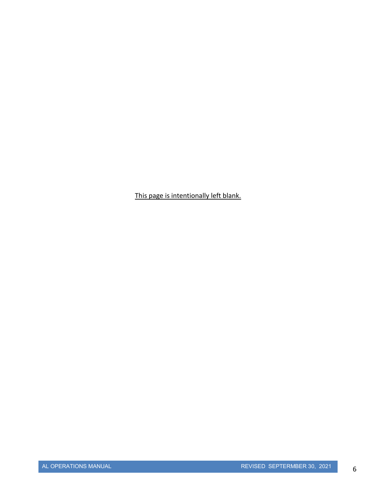This page is intentionally left blank.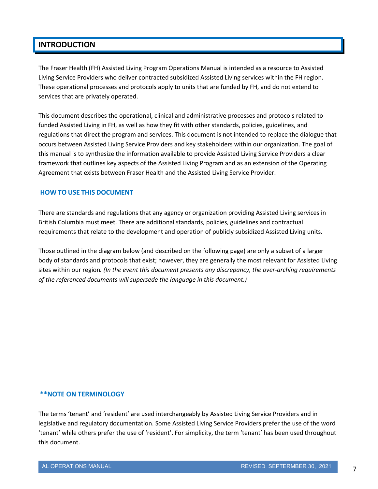# <span id="page-6-0"></span>**INTRODUCTION**

The Fraser Health (FH) Assisted Living Program Operations Manual is intended as a resource to Assisted Living Service Providers who deliver contracted subsidized Assisted Living services within the FH region. These operational processes and protocols apply to units that are funded by FH, and do not extend to services that are privately operated.

This document describes the operational, clinical and administrative processes and protocols related to funded Assisted Living in FH, as well as how they fit with other standards, policies, guidelines, and regulations that direct the program and services. This document is not intended to replace the dialogue that occurs between Assisted Living Service Providers and key stakeholders within our organization. The goal of this manual is to synthesize the information available to provide Assisted Living Service Providers a clear framework that outlines key aspects of the Assisted Living Program and as an extension of the Operating Agreement that exists between Fraser Health and the Assisted Living Service Provider.

#### **HOW TO USE THIS DOCUMENT**

There are standards and regulations that any agency or organization providing Assisted Living services in British Columbia must meet. There are additional standards, policies, guidelines and contractual requirements that relate to the development and operation of publicly subsidized Assisted Living units.

Those outlined in the diagram below (and described on the following page) are only a subset of a larger body of standards and protocols that exist; however, they are generally the most relevant for Assisted Living sites within our region*. (In the event this document presents any discrepancy, the over-arching requirements of the referenced documents will supersede the language in this document.)*

#### **\*\*NOTE ON TERMINOLOGY**

The terms 'tenant' and 'resident' are used interchangeably by Assisted Living Service Providers and in legislative and regulatory documentation. Some Assisted Living Service Providers prefer the use of the word 'tenant' while others prefer the use of 'resident'. For simplicity, the term 'tenant' has been used throughout this document.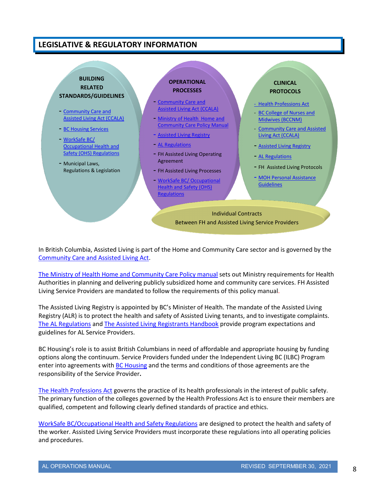# <span id="page-7-0"></span>**LEGISLATIVE & REGULATORY INFORMATION**



In British Columbia, Assisted Living is part of the Home and Community Care sector and is governed by the [Community Care and Assisted Living Act.](http://www.bclaws.ca/civix/document/id/complete/statreg/02075_01)

[The Ministry of Health Home and Community Care Policy manual](https://www2.gov.bc.ca/gov/content/health/accessing-health-care/home-community-care/accountability/policy-and-standards/home-and-community-care-policy-manual) sets out Ministry requirements for Health Authorities in planning and delivering publicly subsidized home and community care services. FH Assisted Living Service Providers are mandated to follow the requirements of this policy manual.

The Assisted Living Registry is appointed by BC's Minister of Health. The mandate of the Assisted Living Registry (ALR) is to protect the health and safety of Assisted Living tenants, and to investigate complaints. The [AL Regulations](http://www.bclaws.ca/civix/document/id/complete/statreg/189_2019) and [The Assisted Living Registrants Handbook](https://www2.gov.bc.ca/assets/gov/health/accessing-health-care/assisted-living-registry/handbook-seniors-persons-with-disabilities.pdf) provide program expectations and guidelines for AL Service Providers.

BC Housing's role is to assist British Columbians in need of affordable and appropriate housing by funding options along the continuum. Service Providers funded under the Independent Living BC (ILBC) Program enter into agreements wit[h BC Housing](https://www.bchousing.org/) and the terms and conditions of those agreements are the responsibility of the Service Provider**.** 

[The Health Professions Act](http://www.bclaws.ca/civix/document/id/complete/statreg/96183_01) governs the practice of its health professionals in the interest of public safety. The primary function of the colleges governed by the Health Professions Act is to ensure their members are qualified, competent and following clearly defined standards of practice and ethics.

[WorkSafe BC/Occupational Health and Safety Regulations](https://www.worksafebc.com/en/law-policy/occupational-health-safety/searchable-ohs-regulation/ohs-regulation) are designed to protect the health and safety of the worker. Assisted Living Service Providers must incorporate these regulations into all operating policies and procedures.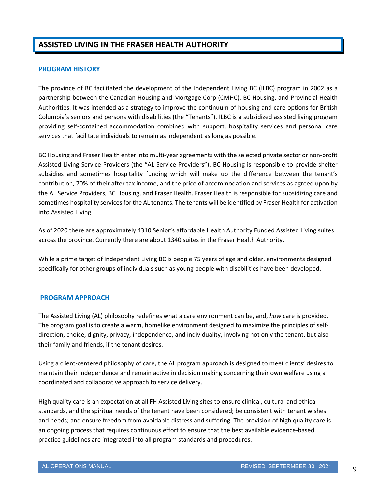# <span id="page-8-0"></span>**ASSISTED LIVING IN THE FRASER HEALTH AUTHORITY**

#### <span id="page-8-1"></span>**PROGRAM HISTORY**

The province of BC facilitated the development of the Independent Living BC (ILBC) program in 2002 as a partnership between the Canadian Housing and Mortgage Corp (CMHC), BC Housing, and Provincial Health Authorities. It was intended as a strategy to improve the continuum of housing and care options for British Columbia's seniors and persons with disabilities (the "Tenants"). ILBC is a subsidized assisted living program providing self-contained accommodation combined with support, hospitality services and personal care services that facilitate individuals to remain as independent as long as possible.

BC Housing and Fraser Health enter into multi-year agreements with the selected private sector or non-profit Assisted Living Service Providers (the "AL Service Providers"). BC Housing is responsible to provide shelter subsidies and sometimes hospitality funding which will make up the difference between the tenant's contribution, 70% of their after tax income, and the price of accommodation and services as agreed upon by the AL Service Providers, BC Housing, and Fraser Health. Fraser Health is responsible for subsidizing care and sometimes hospitality services for the AL tenants. The tenants will be identified by Fraser Health for activation into Assisted Living.

As of 2020 there are approximately 4310 Senior's affordable Health Authority Funded Assisted Living suites across the province. Currently there are about 1340 suites in the Fraser Health Authority.

While a prime target of Independent Living BC is people 75 years of age and older, environments designed specifically for other groups of individuals such as young people with disabilities have been developed.

#### <span id="page-8-2"></span>**PROGRAM APPROACH**

The Assisted Living (AL) philosophy redefines what a care environment can be, and, *how* care is provided. The program goal is to create a warm, homelike environment designed to maximize the principles of selfdirection, choice, dignity, privacy, independence, and individuality, involving not only the tenant, but also their family and friends, if the tenant desires.

Using a client-centered philosophy of care, the AL program approach is designed to meet clients' desires to maintain their independence and remain active in decision making concerning their own welfare using a coordinated and collaborative approach to service delivery.

High quality care is an expectation at all FH Assisted Living sites to ensure clinical, cultural and ethical standards, and the spiritual needs of the tenant have been considered; be consistent with tenant wishes and needs; and ensure freedom from avoidable distress and suffering. The provision of high quality care is an ongoing process that requires continuous effort to ensure that the best available evidence-based practice guidelines are integrated into all program standards and procedures.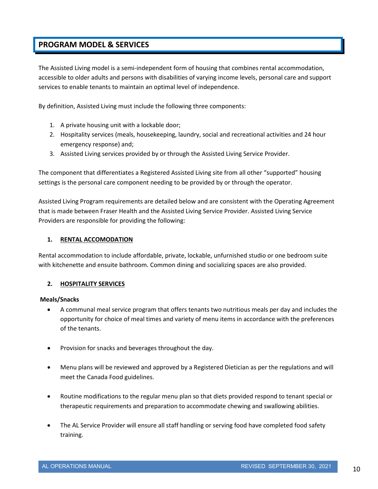# <span id="page-9-0"></span>**PROGRAM MODEL & SERVICES**

The Assisted Living model is a semi-independent form of housing that combines rental accommodation, accessible to older adults and persons with disabilities of varying income levels, personal care and support services to enable tenants to maintain an optimal level of independence.

By definition, Assisted Living must include the following three components:

- 1. A private housing unit with a lockable door;
- 2. Hospitality services (meals, housekeeping, laundry, social and recreational activities and 24 hour emergency response) and;
- 3. Assisted Living services provided by or through the Assisted Living Service Provider.

The component that differentiates a Registered Assisted Living site from all other "supported" housing settings is the personal care component needing to be provided by or through the operator.

Assisted Living Program requirements are detailed below and are consistent with the Operating Agreement that is made between Fraser Health and the Assisted Living Service Provider. Assisted Living Service Providers are responsible for providing the following:

#### **1. RENTAL ACCOMODATION**

Rental accommodation to include affordable, private, lockable, unfurnished studio or one bedroom suite with kitchenette and ensuite bathroom. Common dining and socializing spaces are also provided.

#### **2. HOSPITALITY SERVICES**

#### **Meals/Snacks**

- A communal meal service program that offers tenants two nutritious meals per day and includes the opportunity for choice of meal times and variety of menu items in accordance with the preferences of the tenants.
- Provision for snacks and beverages throughout the day.
- Menu plans will be reviewed and approved by a Registered Dietician as per the regulations and will meet the Canada Food guidelines.
- Routine modifications to the regular menu plan so that diets provided respond to tenant special or therapeutic requirements and preparation to accommodate chewing and swallowing abilities.
- The AL Service Provider will ensure all staff handling or serving food have completed food safety training.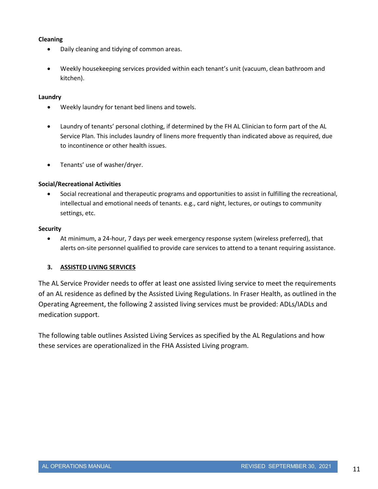#### **Cleaning**

- Daily cleaning and tidying of common areas.
- Weekly housekeeping services provided within each tenant's unit (vacuum, clean bathroom and kitchen).

#### **Laundry**

- Weekly laundry for tenant bed linens and towels.
- Laundry of tenants' personal clothing, if determined by the FH AL Clinician to form part of the AL Service Plan. This includes laundry of linens more frequently than indicated above as required, due to incontinence or other health issues.
- Tenants' use of washer/dryer.

#### **Social/Recreational Activities**

• Social recreational and therapeutic programs and opportunities to assist in fulfilling the recreational, intellectual and emotional needs of tenants. e.g., card night, lectures, or outings to community settings, etc.

#### **Security**

• At minimum, a 24-hour, 7 days per week emergency response system (wireless preferred), that alerts on-site personnel qualified to provide care services to attend to a tenant requiring assistance.

#### **3. ASSISTED LIVING SERVICES**

The AL Service Provider needs to offer at least one assisted living service to meet the requirements of an AL residence as defined by the Assisted Living Regulations. In Fraser Health, as outlined in the Operating Agreement, the following 2 assisted living services must be provided: ADLs/IADLs and medication support.

The following table outlines Assisted Living Services as specified by the AL Regulations and how these services are operationalized in the FHA Assisted Living program.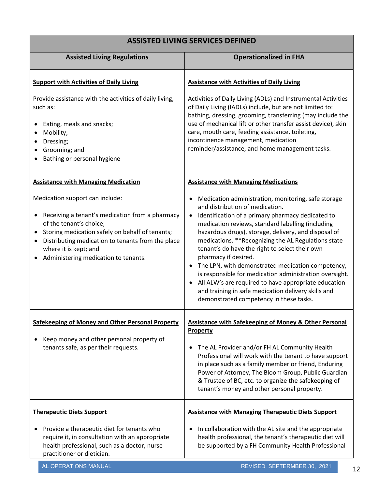# **ASSISTED LIVING SERVICES DEFINED**

| <b>Assisted Living Regulations</b>                                                                                                                                                                                                                                                                                                        | <b>Operationalized in FHA</b>                                                                                                                                                                                                                                                                                                                                                                                                                                                                                                                                                                                                                                                                                                    |
|-------------------------------------------------------------------------------------------------------------------------------------------------------------------------------------------------------------------------------------------------------------------------------------------------------------------------------------------|----------------------------------------------------------------------------------------------------------------------------------------------------------------------------------------------------------------------------------------------------------------------------------------------------------------------------------------------------------------------------------------------------------------------------------------------------------------------------------------------------------------------------------------------------------------------------------------------------------------------------------------------------------------------------------------------------------------------------------|
| <b>Support with Activities of Daily Living</b><br>Provide assistance with the activities of daily living,<br>such as:<br>Eating, meals and snacks;<br>Mobility;<br>Dressing;<br>Grooming; and<br>Bathing or personal hygiene                                                                                                              | <b>Assistance with Activities of Daily Living</b><br>Activities of Daily Living (ADLs) and Instrumental Activities<br>of Daily Living (IADLs) include, but are not limited to:<br>bathing, dressing, grooming, transferring (may include the<br>use of mechanical lift or other transfer assist device), skin<br>care, mouth care, feeding assistance, toileting,<br>incontinence management, medication<br>reminder/assistance, and home management tasks.                                                                                                                                                                                                                                                                      |
| <b>Assistance with Managing Medication</b><br>Medication support can include:<br>Receiving a tenant's medication from a pharmacy<br>٠<br>of the tenant's choice;<br>Storing medication safely on behalf of tenants;<br>Distributing medication to tenants from the place<br>where it is kept; and<br>Administering medication to tenants. | <b>Assistance with Managing Medications</b><br>Medication administration, monitoring, safe storage<br>$\bullet$<br>and distribution of medication.<br>Identification of a primary pharmacy dedicated to<br>medication reviews, standard labelling (including<br>hazardous drugs), storage, delivery, and disposal of<br>medications. ** Recognizing the AL Regulations state<br>tenant's do have the right to select their own<br>pharmacy if desired.<br>The LPN, with demonstrated medication competency,<br>is responsible for medication administration oversight.<br>All ALW's are required to have appropriate education<br>and training in safe medication delivery skills and<br>demonstrated competency in these tasks. |
| Safekeeping of Money and Other Personal Property<br>Keep money and other personal property of<br>tenants safe, as per their requests.                                                                                                                                                                                                     | <b>Assistance with Safekeeping of Money &amp; Other Personal</b><br>Property<br>The AL Provider and/or FH AL Community Health<br>٠<br>Professional will work with the tenant to have support<br>in place such as a family member or friend, Enduring<br>Power of Attorney, The Bloom Group, Public Guardian<br>& Trustee of BC, etc. to organize the safekeeping of<br>tenant's money and other personal property.                                                                                                                                                                                                                                                                                                               |
| <b>Therapeutic Diets Support</b><br>Provide a therapeutic diet for tenants who<br>require it, in consultation with an appropriate<br>health professional, such as a doctor, nurse<br>practitioner or dietician.                                                                                                                           | <b>Assistance with Managing Therapeutic Diets Support</b><br>In collaboration with the AL site and the appropriate<br>٠<br>health professional, the tenant's therapeutic diet will<br>be supported by a FH Community Health Professional                                                                                                                                                                                                                                                                                                                                                                                                                                                                                         |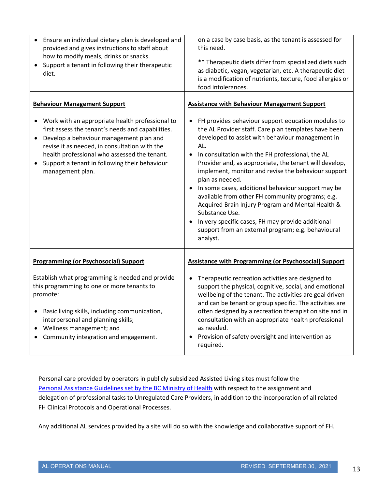| Ensure an individual dietary plan is developed and<br>provided and gives instructions to staff about<br>how to modify meals, drinks or snacks.<br>Support a tenant in following their therapeutic<br>diet.                                                                                                              | on a case by case basis, as the tenant is assessed for<br>this need.<br>** Therapeutic diets differ from specialized diets such<br>as diabetic, vegan, vegetarian, etc. A therapeutic diet<br>is a modification of nutrients, texture, food allergies or<br>food intolerances.                                                                                                                                                                                                                                                                                                                                                                                                       |
|-------------------------------------------------------------------------------------------------------------------------------------------------------------------------------------------------------------------------------------------------------------------------------------------------------------------------|--------------------------------------------------------------------------------------------------------------------------------------------------------------------------------------------------------------------------------------------------------------------------------------------------------------------------------------------------------------------------------------------------------------------------------------------------------------------------------------------------------------------------------------------------------------------------------------------------------------------------------------------------------------------------------------|
|                                                                                                                                                                                                                                                                                                                         |                                                                                                                                                                                                                                                                                                                                                                                                                                                                                                                                                                                                                                                                                      |
| <b>Behaviour Management Support</b>                                                                                                                                                                                                                                                                                     | <b>Assistance with Behaviour Management Support</b>                                                                                                                                                                                                                                                                                                                                                                                                                                                                                                                                                                                                                                  |
| • Work with an appropriate health professional to<br>first assess the tenant's needs and capabilities.<br>Develop a behaviour management plan and<br>revise it as needed, in consultation with the<br>health professional who assessed the tenant.<br>Support a tenant in following their behaviour<br>management plan. | FH provides behaviour support education modules to<br>the AL Provider staff. Care plan templates have been<br>developed to assist with behaviour management in<br>AL.<br>In consultation with the FH professional, the AL<br>$\bullet$<br>Provider and, as appropriate, the tenant will develop,<br>implement, monitor and revise the behaviour support<br>plan as needed.<br>• In some cases, additional behaviour support may be<br>available from other FH community programs; e.g.<br>Acquired Brain Injury Program and Mental Health &<br>Substance Use.<br>In very specific cases, FH may provide additional<br>support from an external program; e.g. behavioural<br>analyst. |
| <b>Programming (or Psychosocial) Support</b>                                                                                                                                                                                                                                                                            | <b>Assistance with Programming (or Psychosocial) Support</b>                                                                                                                                                                                                                                                                                                                                                                                                                                                                                                                                                                                                                         |
|                                                                                                                                                                                                                                                                                                                         |                                                                                                                                                                                                                                                                                                                                                                                                                                                                                                                                                                                                                                                                                      |
| Establish what programming is needed and provide<br>this programming to one or more tenants to<br>promote:                                                                                                                                                                                                              | Therapeutic recreation activities are designed to<br>$\bullet$<br>support the physical, cognitive, social, and emotional<br>wellbeing of the tenant. The activities are goal driven<br>and can be tenant or group specific. The activities are                                                                                                                                                                                                                                                                                                                                                                                                                                       |
| Basic living skills, including communication,<br>$\bullet$<br>interpersonal and planning skills;<br>Wellness management; and                                                                                                                                                                                            | often designed by a recreation therapist on site and in<br>consultation with an appropriate health professional<br>as needed.                                                                                                                                                                                                                                                                                                                                                                                                                                                                                                                                                        |
| Community integration and engagement.                                                                                                                                                                                                                                                                                   | Provision of safety oversight and intervention as<br>٠<br>required.                                                                                                                                                                                                                                                                                                                                                                                                                                                                                                                                                                                                                  |

Personal care provided by operators in publicly subsidized Assisted Living sites must follow the [Personal Assistance Guidelines set by the BC Ministry of Health](http://www.health.gov.bc.ca/library/publications/year/2008/Personal_Assistance_Guidelines.pdf) with respect to the assignment and delegation of professional tasks to Unregulated Care Providers, in addition to the incorporation of all related FH Clinical Protocols and Operational Processes.

Any additional AL services provided by a site will do so with the knowledge and collaborative support of FH.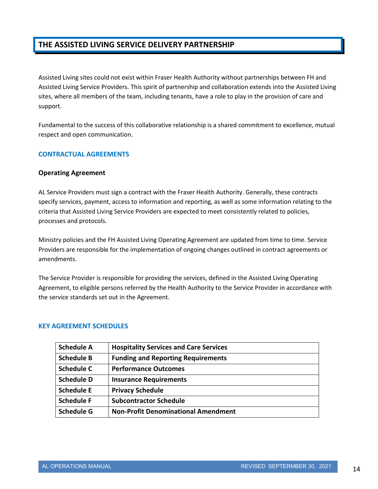# <span id="page-13-0"></span>**THE ASSISTED LIVING SERVICE DELIVERY PARTNERSHIP**

Assisted Living sites could not exist within Fraser Health Authority without partnerships between FH and Assisted Living Service Providers. This spirit of partnership and collaboration extends into the Assisted Living sites, where all members of the team, including tenants, have a role to play in the provision of care and support.

Fundamental to the success of this collaborative relationship is a shared commitment to excellence, mutual respect and open communication.

#### <span id="page-13-1"></span>**CONTRACTUAL AGREEMENTS**

#### **Operating Agreement**

AL Service Providers must sign a contract with the Fraser Health Authority. Generally, these contracts specify services, payment, access to information and reporting, as well as some information relating to the criteria that Assisted Living Service Providers are expected to meet consistently related to policies, processes and protocols.

Ministry policies and the FH Assisted Living Operating Agreement are updated from time to time. Service Providers are responsible for the implementation of ongoing changes outlined in contract agreements or amendments.

The Service Provider is responsible for providing the services, defined in the Assisted Living Operating Agreement, to eligible persons referred by the Health Authority to the Service Provider in accordance with the service standards set out in the Agreement.

#### **KEY AGREEMENT SCHEDULES**

| <b>Schedule A</b> | <b>Hospitality Services and Care Services</b> |
|-------------------|-----------------------------------------------|
| <b>Schedule B</b> | <b>Funding and Reporting Requirements</b>     |
| <b>Schedule C</b> | <b>Performance Outcomes</b>                   |
| <b>Schedule D</b> | <b>Insurance Requirements</b>                 |
| <b>Schedule E</b> | <b>Privacy Schedule</b>                       |
| <b>Schedule F</b> | <b>Subcontractor Schedule</b>                 |
| <b>Schedule G</b> | <b>Non-Profit Denominational Amendment</b>    |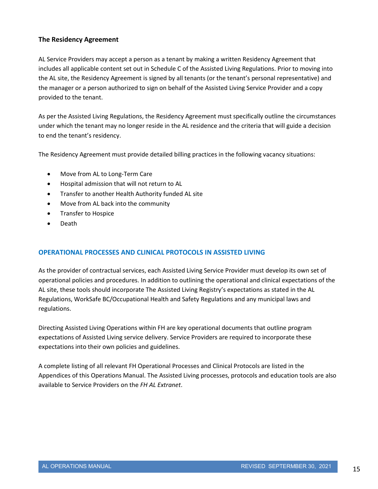#### **The Residency Agreement**

AL Service Providers may accept a person as a tenant by making a written Residency Agreement that includes all applicable content set out in Schedule C of the Assisted Living Regulations. Prior to moving into the AL site, the Residency Agreement is signed by all tenants (or the tenant's personal representative) and the manager or a person authorized to sign on behalf of the Assisted Living Service Provider and a copy provided to the tenant.

As per the Assisted Living Regulations, the Residency Agreement must specifically outline the circumstances under which the tenant may no longer reside in the AL residence and the criteria that will guide a decision to end the tenant's residency.

The Residency Agreement must provide detailed billing practices in the following vacancy situations:

- Move from AL to Long-Term Care
- Hospital admission that will not return to AL
- Transfer to another Health Authority funded AL site
- Move from AL back into the community
- Transfer to Hospice
- Death

#### <span id="page-14-0"></span>**OPERATIONAL PROCESSES AND CLINICAL PROTOCOLS IN ASSISTED LIVING**

As the provider of contractual services, each Assisted Living Service Provider must develop its own set of operational policies and procedures. In addition to outlining the operational and clinical expectations of the AL site, these tools should incorporate The Assisted Living Registry's expectations as stated in the AL Regulations, WorkSafe BC/Occupational Health and Safety Regulations and any municipal laws and regulations.

Directing Assisted Living Operations within FH are key operational documents that outline program expectations of Assisted Living service delivery. Service Providers are required to incorporate these expectations into their own policies and guidelines.

A complete listing of all relevant FH Operational Processes and Clinical Protocols are listed in the Appendices of this Operations Manual. The Assisted Living processes, protocols and education tools are also available to Service Providers on the *FH AL Extranet*.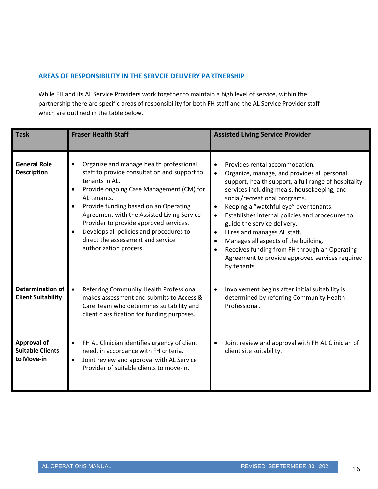#### <span id="page-15-0"></span>**AREAS OF RESPONSIBILITY IN THE SERVCIE DELIVERY PARTNERSHIP**

While FH and its AL Service Providers work together to maintain a high level of service, within the partnership there are specific areas of responsibility for both FH staff and the AL Service Provider staff which are outlined in the table below.

| <b>Task</b>                                                 | <b>Fraser Health Staff</b>                                                                                                                                                                                                                                                                                                                                                                                      | <b>Assisted Living Service Provider</b>                                                                                                                                                                                                                                                                                                                                                                                                                                                                                                                                                                                                |
|-------------------------------------------------------------|-----------------------------------------------------------------------------------------------------------------------------------------------------------------------------------------------------------------------------------------------------------------------------------------------------------------------------------------------------------------------------------------------------------------|----------------------------------------------------------------------------------------------------------------------------------------------------------------------------------------------------------------------------------------------------------------------------------------------------------------------------------------------------------------------------------------------------------------------------------------------------------------------------------------------------------------------------------------------------------------------------------------------------------------------------------------|
| <b>General Role</b><br><b>Description</b>                   | Organize and manage health professional<br>staff to provide consultation and support to<br>tenants in AL.<br>Provide ongoing Case Management (CM) for<br>AL tenants.<br>Provide funding based on an Operating<br>Agreement with the Assisted Living Service<br>Provider to provide approved services.<br>Develops all policies and procedures to<br>direct the assessment and service<br>authorization process. | Provides rental accommodation.<br>$\bullet$<br>Organize, manage, and provides all personal<br>$\bullet$<br>support, health support, a full range of hospitality<br>services including meals, housekeeping, and<br>social/recreational programs.<br>Keeping a "watchful eye" over tenants.<br>$\bullet$<br>Establishes internal policies and procedures to<br>$\bullet$<br>guide the service delivery.<br>Hires and manages AL staff.<br>$\bullet$<br>Manages all aspects of the building.<br>$\bullet$<br>Receives funding from FH through an Operating<br>$\bullet$<br>Agreement to provide approved services required<br>by tenants. |
| <b>Determination of</b><br><b>Client Suitability</b>        | Referring Community Health Professional<br>makes assessment and submits to Access &<br>Care Team who determines suitability and<br>client classification for funding purposes.                                                                                                                                                                                                                                  | Involvement begins after initial suitability is<br>$\bullet$<br>determined by referring Community Health<br>Professional.                                                                                                                                                                                                                                                                                                                                                                                                                                                                                                              |
| <b>Approval of</b><br><b>Suitable Clients</b><br>to Move-in | FH AL Clinician identifies urgency of client<br>need, in accordance with FH criteria.<br>Joint review and approval with AL Service<br>$\bullet$<br>Provider of suitable clients to move-in.                                                                                                                                                                                                                     | Joint review and approval with FH AL Clinician of<br>$\bullet$<br>client site suitability.                                                                                                                                                                                                                                                                                                                                                                                                                                                                                                                                             |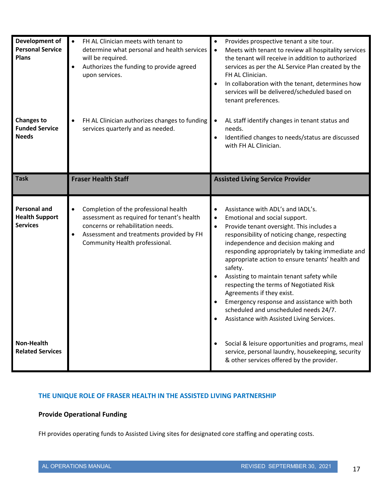| Development of<br><b>Personal Service</b><br><b>Plans</b>       | FH AL Clinician meets with tenant to<br>determine what personal and health services<br>will be required.<br>Authorizes the funding to provide agreed<br>upon services.                                              | Provides prospective tenant a site tour.<br>$\bullet$<br>Meets with tenant to review all hospitality services<br>$\bullet$<br>the tenant will receive in addition to authorized<br>services as per the AL Service Plan created by the<br>FH AL Clinician.<br>In collaboration with the tenant, determines how<br>$\bullet$<br>services will be delivered/scheduled based on<br>tenant preferences.                                                                                                                                                                                                              |
|-----------------------------------------------------------------|---------------------------------------------------------------------------------------------------------------------------------------------------------------------------------------------------------------------|-----------------------------------------------------------------------------------------------------------------------------------------------------------------------------------------------------------------------------------------------------------------------------------------------------------------------------------------------------------------------------------------------------------------------------------------------------------------------------------------------------------------------------------------------------------------------------------------------------------------|
| <b>Changes to</b><br><b>Funded Service</b><br><b>Needs</b>      | FH AL Clinician authorizes changes to funding<br>services quarterly and as needed.                                                                                                                                  | AL staff identify changes in tenant status and<br>needs.<br>Identified changes to needs/status are discussed<br>$\bullet$<br>with FH AL Clinician.                                                                                                                                                                                                                                                                                                                                                                                                                                                              |
| <b>Task</b>                                                     | <b>Fraser Health Staff</b>                                                                                                                                                                                          | <b>Assisted Living Service Provider</b>                                                                                                                                                                                                                                                                                                                                                                                                                                                                                                                                                                         |
| <b>Personal and</b><br><b>Health Support</b><br><b>Services</b> | Completion of the professional health<br>$\bullet$<br>assessment as required for tenant's health<br>concerns or rehabilitation needs.<br>Assessment and treatments provided by FH<br>Community Health professional. | Assistance with ADL's and IADL's.<br>Emotional and social support.<br>$\bullet$<br>Provide tenant oversight. This includes a<br>$\bullet$<br>responsibility of noticing change, respecting<br>independence and decision making and<br>responding appropriately by taking immediate and<br>appropriate action to ensure tenants' health and<br>safety.<br>Assisting to maintain tenant safety while<br>respecting the terms of Negotiated Risk<br>Agreements if they exist.<br>Emergency response and assistance with both<br>scheduled and unscheduled needs 24/7.<br>Assistance with Assisted Living Services. |
| <b>Non-Health</b><br><b>Related Services</b>                    |                                                                                                                                                                                                                     | Social & leisure opportunities and programs, meal<br>service, personal laundry, housekeeping, security<br>& other services offered by the provider.                                                                                                                                                                                                                                                                                                                                                                                                                                                             |

#### <span id="page-16-0"></span>**THE UNIQUE ROLE OF FRASER HEALTH IN THE ASSISTED LIVING PARTNERSHIP**

#### **Provide Operational Funding**

FH provides operating funds to Assisted Living sites for designated core staffing and operating costs.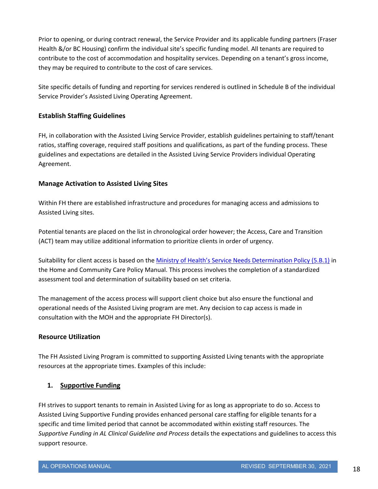Prior to opening, or during contract renewal, the Service Provider and its applicable funding partners (Fraser Health &/or BC Housing) confirm the individual site's specific funding model. All tenants are required to contribute to the cost of accommodation and hospitality services. Depending on a tenant's gross income, they may be required to contribute to the cost of care services.

Site specific details of funding and reporting for services rendered is outlined in Schedule B of the individual Service Provider's Assisted Living Operating Agreement.

#### **Establish Staffing Guidelines**

FH, in collaboration with the Assisted Living Service Provider, establish guidelines pertaining to staff/tenant ratios, staffing coverage, required staff positions and qualifications, as part of the funding process. These guidelines and expectations are detailed in the Assisted Living Service Providers individual Operating Agreement.

#### **Manage Activation to Assisted Living Sites**

Within FH there are established infrastructure and procedures for managing access and admissions to Assisted Living sites.

Potential tenants are placed on the list in chronological order however; the Access, Care and Transition (ACT) team may utilize additional information to prioritize clients in order of urgency.

Suitability for client access is based on the [Ministry of Health's Service Needs Determination Policy \(5.B.1\)](https://www2.gov.bc.ca/gov/content/health/accessing-health-care/home-community-care/accountability/policy-and-standards/home-and-community-care-policy-manual) in the Home and Community Care Policy Manual. This process involves the completion of a standardized assessment tool and determination of suitability based on set criteria.

The management of the access process will support client choice but also ensure the functional and operational needs of the Assisted Living program are met. Any decision to cap access is made in consultation with the MOH and the appropriate FH Director(s).

#### **Resource Utilization**

The FH Assisted Living Program is committed to supporting Assisted Living tenants with the appropriate resources at the appropriate times. Examples of this include:

#### **1. Supportive Funding**

FH strives to support tenants to remain in Assisted Living for as long as appropriate to do so. Access to Assisted Living Supportive Funding provides enhanced personal care staffing for eligible tenants for a specific and time limited period that cannot be accommodated within existing staff resources. The *Supportive Funding in AL Clinical Guideline and Process* details the expectations and guidelines to access this support resource.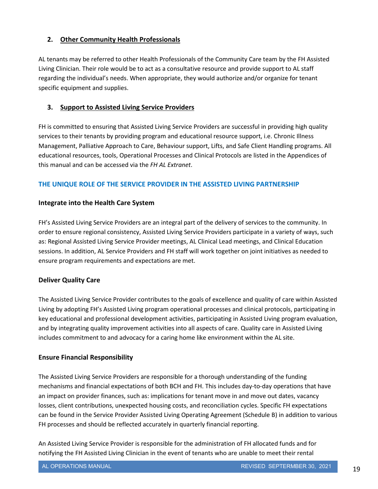#### **2. Other Community Health Professionals**

AL tenants may be referred to other Health Professionals of the Community Care team by the FH Assisted Living Clinician. Their role would be to act as a consultative resource and provide support to AL staff regarding the individual's needs. When appropriate, they would authorize and/or organize for tenant specific equipment and supplies.

#### **3. Support to Assisted Living Service Providers**

FH is committed to ensuring that Assisted Living Service Providers are successful in providing high quality services to their tenants by providing program and educational resource support, i.e. Chronic Illness Management, Palliative Approach to Care, Behaviour support, Lifts, and Safe Client Handling programs. All educational resources, tools, Operational Processes and Clinical Protocols are listed in the Appendices of this manual and can be accessed via the *FH AL Extranet*.

#### <span id="page-18-0"></span>**THE UNIQUE ROLE OF THE SERVICE PROVIDER IN THE ASSISTED LIVING PARTNERSHIP**

#### **Integrate into the Health Care System**

FH's Assisted Living Service Providers are an integral part of the delivery of services to the community. In order to ensure regional consistency, Assisted Living Service Providers participate in a variety of ways, such as: Regional Assisted Living Service Provider meetings, AL Clinical Lead meetings, and Clinical Education sessions. In addition, AL Service Providers and FH staff will work together on joint initiatives as needed to ensure program requirements and expectations are met.

#### **Deliver Quality Care**

The Assisted Living Service Provider contributes to the goals of excellence and quality of care within Assisted Living by adopting FH's Assisted Living program operational processes and clinical protocols, participating in key educational and professional development activities, participating in Assisted Living program evaluation, and by integrating quality improvement activities into all aspects of care. Quality care in Assisted Living includes commitment to and advocacy for a caring home like environment within the AL site.

#### **Ensure Financial Responsibility**

The Assisted Living Service Providers are responsible for a thorough understanding of the funding mechanisms and financial expectations of both BCH and FH. This includes day-to-day operations that have an impact on provider finances, such as: implications for tenant move in and move out dates, vacancy losses, client contributions, unexpected housing costs, and reconciliation cycles. Specific FH expectations can be found in the Service Provider Assisted Living Operating Agreement (Schedule B) in addition to various FH processes and should be reflected accurately in quarterly financial reporting.

An Assisted Living Service Provider is responsible for the administration of FH allocated funds and for notifying the FH Assisted Living Clinician in the event of tenants who are unable to meet their rental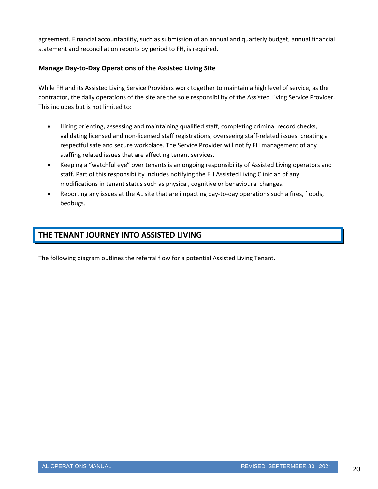agreement. Financial accountability, such as submission of an annual and quarterly budget, annual financial statement and reconciliation reports by period to FH, is required.

#### **Manage Day-to-Day Operations of the Assisted Living Site**

While FH and its Assisted Living Service Providers work together to maintain a high level of service, as the contractor, the daily operations of the site are the sole responsibility of the Assisted Living Service Provider. This includes but is not limited to:

- Hiring orienting, assessing and maintaining qualified staff, completing criminal record checks, validating licensed and non-licensed staff registrations, overseeing staff-related issues, creating a respectful safe and secure workplace. The Service Provider will notify FH management of any staffing related issues that are affecting tenant services.
- Keeping a "watchful eye" over tenants is an ongoing responsibility of Assisted Living operators and staff. Part of this responsibility includes notifying the FH Assisted Living Clinician of any modifications in tenant status such as physical, cognitive or behavioural changes.
- Reporting any issues at the AL site that are impacting day-to-day operations such a fires, floods, bedbugs.

# <span id="page-19-0"></span>**THE TENANT JOURNEY INTO ASSISTED LIVING**

The following diagram outlines the referral flow for a potential Assisted Living Tenant.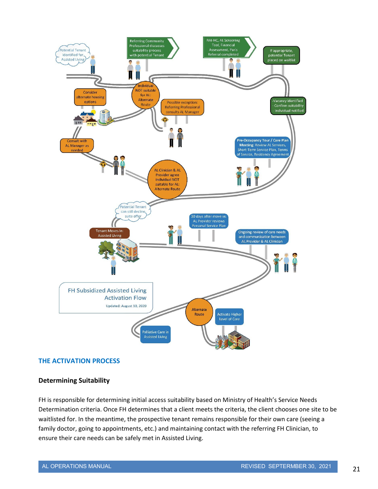

#### <span id="page-20-0"></span>**THE ACTIVATION PROCESS**

#### **Determining Suitability**

FH is responsible for determining initial access suitability based on Ministry of Health's Service Needs Determination criteria. Once FH determines that a client meets the criteria, the client chooses one site to be waitlisted for. In the meantime, the prospective tenant remains responsible for their own care (seeing a family doctor, going to appointments, etc.) and maintaining contact with the referring FH Clinician, to ensure their care needs can be safely met in Assisted Living.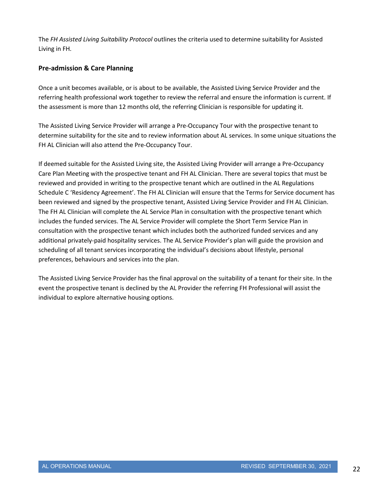The *FH Assisted Living Suitability Protocol* outlines the criteria used to determine suitability for Assisted Living in FH.

#### **Pre-admission & Care Planning**

Once a unit becomes available, or is about to be available, the Assisted Living Service Provider and the referring health professional work together to review the referral and ensure the information is current. If the assessment is more than 12 months old, the referring Clinician is responsible for updating it.

The Assisted Living Service Provider will arrange a Pre-Occupancy Tour with the prospective tenant to determine suitability for the site and to review information about AL services. In some unique situations the FH AL Clinician will also attend the Pre-Occupancy Tour.

If deemed suitable for the Assisted Living site, the Assisted Living Provider will arrange a Pre-Occupancy Care Plan Meeting with the prospective tenant and FH AL Clinician. There are several topics that must be reviewed and provided in writing to the prospective tenant which are outlined in the AL Regulations Schedule C 'Residency Agreement'. The FH AL Clinician will ensure that the Terms for Service document has been reviewed and signed by the prospective tenant, Assisted Living Service Provider and FH AL Clinician. The FH AL Clinician will complete the AL Service Plan in consultation with the prospective tenant which includes the funded services. The AL Service Provider will complete the Short Term Service Plan in consultation with the prospective tenant which includes both the authorized funded services and any additional privately-paid hospitality services. The AL Service Provider's plan will guide the provision and scheduling of all tenant services incorporating the individual's decisions about lifestyle, personal preferences, behaviours and services into the plan.

The Assisted Living Service Provider has the final approval on the suitability of a tenant for their site. In the event the prospective tenant is declined by the AL Provider the referring FH Professional will assist the individual to explore alternative housing options.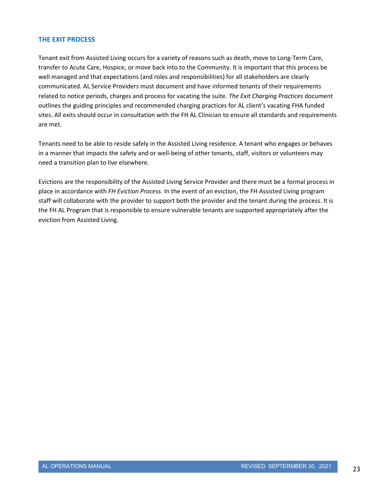#### <span id="page-22-0"></span>**THE EXIT PROCESS**

Tenant exit from Assisted Living occurs for a variety of reasons such as death, move to Long-Term Care, transfer to Acute Care, Hospice, or move back into to the Community. It is important that this process be well managed and that expectations (and roles and responsibilities) for all stakeholders are clearly communicated. AL Service Providers must document and have informed tenants of their requirements related to notice periods, charges and process for vacating the suite. *The Exit Charging Practices* document outlines the guiding principles and recommended charging practices for AL client's vacating FHA funded sites. All exits should occur in consultation with the FH AL Clinician to ensure all standards and requirements are met.

Tenants need to be able to reside safely in the Assisted Living residence. A tenant who engages or behaves in a manner that impacts the safety and or well-being of other tenants, staff, visitors or volunteers may need a transition plan to live elsewhere.

Evictions are the responsibility of the Assisted Living Service Provider and there must be a formal process in place in accordance with *FH Eviction Process.* In the event of an eviction, the FH Assisted Living program staff will collaborate with the provider to support both the provider and the tenant during the process. It is the FH AL Program that is responsible to ensure vulnerable tenants are supported appropriately after the eviction from Assisted Living.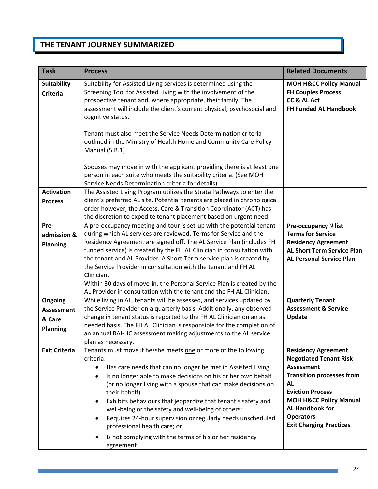# <span id="page-23-0"></span>**THE TENANT JOURNEY SUMMARIZED**

| <b>Task</b>                                               | <b>Process</b>                                                                                                                                                                                                                                                                                                                                                                                                                                                                                                                                                                                                                                                   | <b>Related Documents</b>                                                                                                                                                                                                                                                   |
|-----------------------------------------------------------|------------------------------------------------------------------------------------------------------------------------------------------------------------------------------------------------------------------------------------------------------------------------------------------------------------------------------------------------------------------------------------------------------------------------------------------------------------------------------------------------------------------------------------------------------------------------------------------------------------------------------------------------------------------|----------------------------------------------------------------------------------------------------------------------------------------------------------------------------------------------------------------------------------------------------------------------------|
| <b>Suitability</b><br><b>Criteria</b>                     | Suitability for Assisted Living services is determined using the<br>Screening Tool for Assisted Living with the involvement of the<br>prospective tenant and, where appropriate, their family. The<br>assessment will include the client's current physical, psychosocial and<br>cognitive status.<br>Tenant must also meet the Service Needs Determination criteria<br>outlined in the Ministry of Health Home and Community Care Policy<br>Manual (5.B.1)<br>Spouses may move in with the applicant providing there is at least one<br>person in each suite who meets the suitability criteria. (See MOH<br>Service Needs Determination criteria for details). | <b>MOH H&amp;CC Policy Manual</b><br><b>FH Couples Process</b><br><b>CC &amp; AL Act</b><br><b>FH Funded AL Handbook</b>                                                                                                                                                   |
| <b>Activation</b>                                         | The Assisted Living Program utilizes the Strata Pathways to enter the                                                                                                                                                                                                                                                                                                                                                                                                                                                                                                                                                                                            |                                                                                                                                                                                                                                                                            |
| <b>Process</b>                                            | client's preferred AL site. Potential tenants are placed in chronological<br>order however, the Access, Care & Transition Coordinator (ACT) has<br>the discretion to expedite tenant placement based on urgent need.                                                                                                                                                                                                                                                                                                                                                                                                                                             |                                                                                                                                                                                                                                                                            |
| Pre-<br>admission &<br><b>Planning</b>                    | A pre-occupancy meeting and tour is set-up with the potential tenant<br>during which AL services are reviewed, Terms for Service and the<br>Residency Agreement are signed off. The AL Service Plan (includes FH<br>funded service) is created by the FH AL Clinician in consultation with<br>the tenant and AL Provider. A Short-Term service plan is created by<br>the Service Provider in consultation with the tenant and FH AL<br>Clinician.<br>Within 30 days of move-in, the Personal Service Plan is created by the<br>AL Provider in consultation with the tenant and the FH AL Clinician.                                                              | Pre-occupancy $\sqrt{}$ list<br><b>Terms for Service</b><br><b>Residency Agreement</b><br><b>AL Short Term Service Plan</b><br><b>AL Personal Service Plan</b>                                                                                                             |
| Ongoing<br><b>Assessment</b><br>& Care<br><b>Planning</b> | While living in AL, tenants will be assessed, and services updated by<br>the Service Provider on a quarterly basis. Additionally, any observed<br>change in tenant status is reported to the FH AL Clinician on an as<br>needed basis. The FH AL Clinician is responsible for the completion of<br>an annual RAI-HC assessment making adjustments to the AL service<br>plan as necessary.                                                                                                                                                                                                                                                                        | <b>Quarterly Tenant</b><br><b>Assessment &amp; Service</b><br>Update                                                                                                                                                                                                       |
| <b>Exit Criteria</b>                                      | Tenants must move if he/she meets one or more of the following<br>criteria:<br>Has care needs that can no longer be met in Assisted Living<br>٠<br>Is no longer able to make decisions on his or her own behalf<br>٠<br>(or no longer living with a spouse that can make decisions on<br>their behalf)<br>Exhibits behaviours that jeopardize that tenant's safety and<br>٠<br>well-being or the safety and well-being of others;<br>Requires 24-hour supervision or regularly needs unscheduled<br>$\bullet$<br>professional health care; or<br>Is not complying with the terms of his or her residency<br>$\bullet$<br>agreement                               | <b>Residency Agreement</b><br><b>Negotiated Tenant Risk</b><br><b>Assessment</b><br><b>Transition processes from</b><br>AL<br><b>Eviction Process</b><br><b>MOH H&amp;CC Policy Manual</b><br><b>AL Handbook for</b><br><b>Operators</b><br><b>Exit Charging Practices</b> |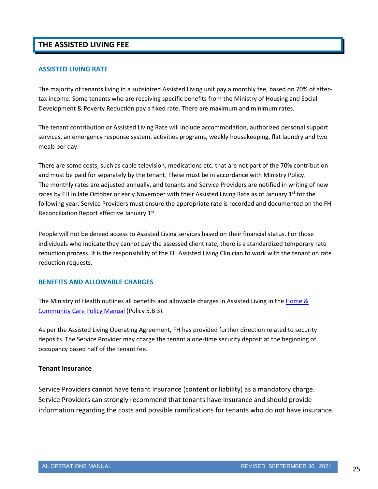# <span id="page-24-0"></span>**THE ASSISTED LIVING FEE**

#### <span id="page-24-1"></span>**ASSISTED LIVING RATE**

The majority of tenants living in a subsidized Assisted Living unit pay a monthly fee, based on 70% of aftertax income. Some tenants who are receiving specific benefits from the Ministry of Housing and Social Development & Poverty Reduction pay a fixed rate. There are maximum and minimum rates.

The tenant contribution or Assisted Living Rate will include accommodation, authorized personal support services, an emergency response system, activities programs, weekly housekeeping, flat laundry and two meals per day.

There are some costs, such as cable television, medications etc. that are not part of the 70% contribution and must be paid for separately by the tenant. These must be in accordance with Ministry Policy. The monthly rates are adjusted annually, and tenants and Service Providers are notified in writing of new rates by FH in late October or early November with their Assisted Living Rate as of January 1<sup>st</sup> for the following year. Service Providers must ensure the appropriate rate is recorded and documented on the FH Reconciliation Report effective January 1st.

People will not be denied access to Assisted Living services based on their financial status. For those individuals who indicate they cannot pay the assessed client rate, there is a standardized temporary rate reduction process. It is the responsibility of the FH Assisted Living Clinician to work with the tenant on rate reduction requests.

#### <span id="page-24-2"></span>**BENEFITS AND ALLOWABLE CHARGES**

The Ministry of Health outlines all benefits and allowable charges in Assisted Living in the [Home &](https://www2.gov.bc.ca/gov/content/health/accessing-health-care/home-community-care/accountability/policy-and-standards/home-and-community-care-policy-manual)  [Community Care Policy Manual](https://www2.gov.bc.ca/gov/content/health/accessing-health-care/home-community-care/accountability/policy-and-standards/home-and-community-care-policy-manual) (Policy 5.B 3).

As per the Assisted Living Operating Agreement, FH has provided further direction related to security deposits. The Service Provider may charge the tenant a one-time security deposit at the beginning of occupancy based half of the tenant fee.

#### **Tenant Insurance**

Service Providers cannot have tenant Insurance (content or liability) as a mandatory charge. Service Providers can strongly recommend that tenants have insurance and should provide information regarding the costs and possible ramifications for tenants who do not have insurance.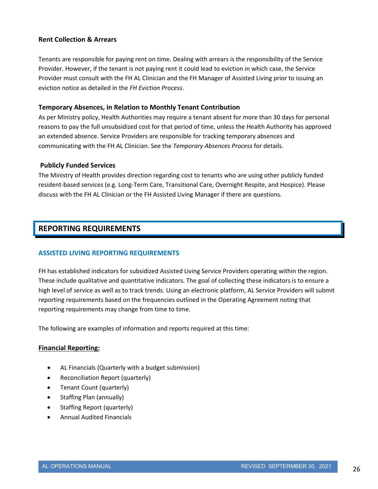#### **Rent Collection & Arrears**

Tenants are responsible for paying rent on time. Dealing with arrears is the responsibility of the Service Provider. However, if the tenant is not paying rent it could lead to eviction in which case, the Service Provider must consult with the FH AL Clinician and the FH Manager of Assisted Living prior to issuing an eviction notice as detailed in the *FH Eviction Process*.

#### **Temporary Absences, in Relation to Monthly Tenant Contribution**

As per Ministry policy, Health Authorities may require a tenant absent for more than 30 days for personal reasons to pay the full unsubsidized cost for that period of time, unless the Health Authority has approved an extended absence. Service Providers are responsible for tracking temporary absences and communicating with the FH AL Clinician. See the *Temporary Absences Process* for details.

#### **Publicly Funded Services**

The Ministry of Health provides direction regarding cost to tenants who are using other publicly funded resident-based services (e.g. Long-Term Care, Transitional Care, Overnight Respite, and Hospice). Please discuss with the FH AL Clinician or the FH Assisted Living Manager if there are questions.

## <span id="page-25-0"></span>**REPORTING REQUIREMENTS**

#### <span id="page-25-1"></span>**ASSISTED LIVING REPORTING REQUIREMENTS**

FH has established indicators for subsidized Assisted Living Service Providers operating within the region. These include qualitative and quantitative indicators. The goal of collecting these indicators is to ensure a high level of service as well as to track trends. Using an electronic platform, AL Service Providers will submit reporting requirements based on the frequencies outlined in the Operating Agreement noting that reporting requirements may change from time to time.

The following are examples of information and reports required at this time:

#### **Financial Reporting:**

- AL Financials (Quarterly with a budget submission)
- Reconciliation Report (quarterly)
- Tenant Count (quarterly)
- Staffing Plan (annually)
- Staffing Report (quarterly)
- Annual Audited Financials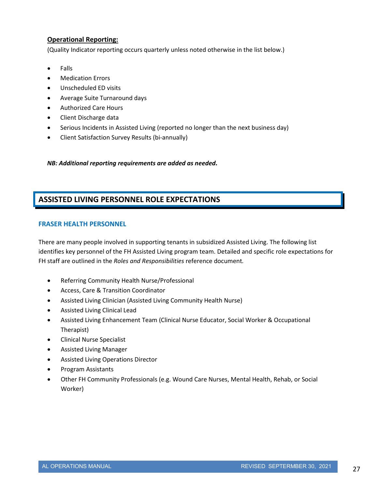#### **Operational Reporting:**

(Quality Indicator reporting occurs quarterly unless noted otherwise in the list below.)

- Falls
- Medication Errors
- Unscheduled ED visits
- Average Suite Turnaround days
- Authorized Care Hours
- Client Discharge data
- Serious Incidents in Assisted Living (reported no longer than the next business day)
- Client Satisfaction Survey Results (bi-annually)

#### *NB: Additional reporting requirements are added as needed.*

# <span id="page-26-0"></span>**ASSISTED LIVING PERSONNEL ROLE EXPECTATIONS**

#### <span id="page-26-1"></span>**FRASER HEALTH PERSONNEL**

There are many people involved in supporting tenants in subsidized Assisted Living. The following list identifies key personnel of the FH Assisted Living program team. Detailed and specific role expectations for FH staff are outlined in the *Roles and Responsibilities* reference document*.*

- Referring Community Health Nurse/Professional
- Access, Care & Transition Coordinator
- Assisted Living Clinician (Assisted Living Community Health Nurse)
- Assisted Living Clinical Lead
- Assisted Living Enhancement Team (Clinical Nurse Educator, Social Worker & Occupational Therapist)
- Clinical Nurse Specialist
- Assisted Living Manager
- Assisted Living Operations Director
- Program Assistants
- <span id="page-26-2"></span>• Other FH Community Professionals (e.g. Wound Care Nurses, Mental Health, Rehab, or Social Worker)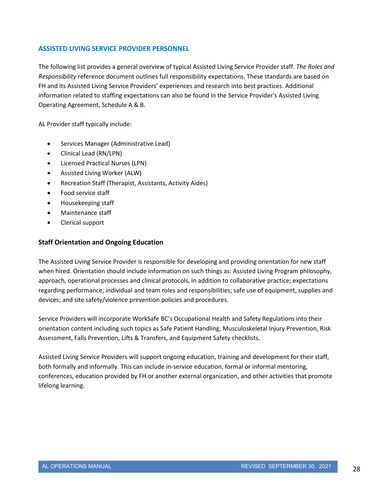#### **ASSISTED LIVING SERVICE PROVIDER PERSONNEL**

The following list provides a general overview of typical Assisted Living Service Provider staff. *The Roles and Responsibility* reference document outlines full responsibility expectations. These standards are based on FH and its Assisted Living Service Providers' experiences and research into best practices. Additional information related to staffing expectations can also be found in the Service Provider's Assisted Living Operating Agreement, Schedule A & B.

AL Provider staff typically include:

- Services Manager (Administrative Lead)
- Clinical Lead (RN/LPN)
- Licensed Practical Nurses (LPN)
- Assisted Living Worker (ALW)
- Recreation Staff (Therapist, Assistants, Activity Aides)
- Food service staff
- Housekeeping staff
- Maintenance staff
- Clerical support

#### **Staff Orientation and Ongoing Education**

The Assisted Living Service Provider is responsible for developing and providing orientation for new staff when hired. Orientation should include information on such things as: Assisted Living Program philosophy, approach, operational processes and clinical protocols, in addition to collaborative practice; expectations regarding performance; individual and team roles and responsibilities; safe use of equipment, supplies and devices; and site safety/violence prevention policies and procedures.

Service Providers will incorporate WorkSafe BC's Occupational Health and Safety Regulations into their orientation content including such topics as Safe Patient Handling, Musculoskeletal Injury Prevention, Risk Assessment, Falls Prevention, Lifts & Transfers, and Equipment Safety checklists.

Assisted Living Service Providers will support ongoing education, training and development for their staff, both formally and informally. This can include in-service education, formal or informal mentoring, conferences, education provided by FH or another external organization, and other activities that promote lifelong learning.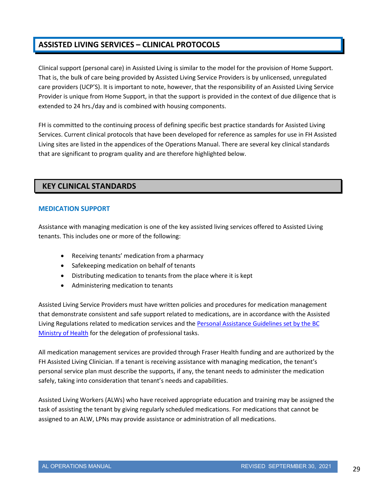# <span id="page-28-0"></span>**ASSISTED LIVING SERVICES – CLINICAL PROTOCOLS**

Clinical support (personal care) in Assisted Living is similar to the model for the provision of Home Support. That is, the bulk of care being provided by Assisted Living Service Providers is by unlicensed, unregulated care providers (UCP'S). It is important to note, however, that the responsibility of an Assisted Living Service Provider is unique from Home Support, in that the support is provided in the context of due diligence that is extended to 24 hrs./day and is combined with housing components.

FH is committed to the continuing process of defining specific best practice standards for Assisted Living Services. Current clinical protocols that have been developed for reference as samples for use in FH Assisted Living sites are listed in the appendices of the Operations Manual. There are several key clinical standards that are significant to program quality and are therefore highlighted below.

## **KEY CLINICAL STANDARDS**

#### <span id="page-28-1"></span>**MEDICATION SUPPORT**

Assistance with managing medication is one of the key assisted living services offered to Assisted Living tenants. This includes one or more of the following:

- Receiving tenants' medication from a pharmacy
- Safekeeping medication on behalf of tenants
- Distributing medication to tenants from the place where it is kept
- Administering medication to tenants

Assisted Living Service Providers must have written policies and procedures for medication management that demonstrate consistent and safe support related to medications, are in accordance with the Assisted Living Regulations related to medication services and the [Personal Assistance Guidelines set by the BC](http://www.health.gov.bc.ca/library/publications/year/2008/Personal_Assistance_Guidelines.pdf)  [Ministry of Health](http://www.health.gov.bc.ca/library/publications/year/2008/Personal_Assistance_Guidelines.pdf) for the delegation of professional tasks.

All medication management services are provided through Fraser Health funding and are authorized by the FH Assisted Living Clinician. If a tenant is receiving assistance with managing medication, the tenant's personal service plan must describe the supports, if any, the tenant needs to administer the medication safely, taking into consideration that tenant's needs and capabilities.

<span id="page-28-2"></span>Assisted Living Workers (ALWs) who have received appropriate education and training may be assigned the task of assisting the tenant by giving regularly scheduled medications. For medications that cannot be assigned to an ALW, LPNs may provide assistance or administration of all medications.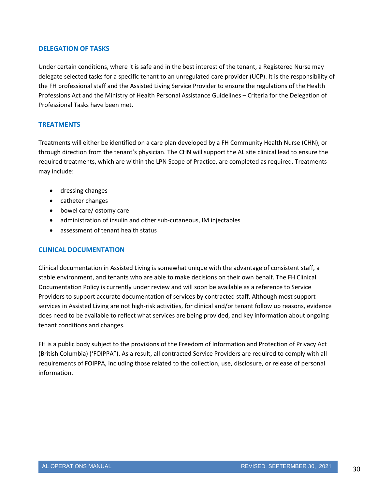#### **DELEGATION OF TASKS**

Under certain conditions, where it is safe and in the best interest of the tenant, a Registered Nurse may delegate selected tasks for a specific tenant to an unregulated care provider (UCP). It is the responsibility of the FH professional staff and the Assisted Living Service Provider to ensure the regulations of the Health Professions Act and the Ministry of Health Personal Assistance Guidelines *–* Criteria for the Delegation of Professional Tasks have been met.

#### <span id="page-29-0"></span>**TREATMENTS**

Treatments will either be identified on a care plan developed by a FH Community Health Nurse (CHN), or through direction from the tenant's physician. The CHN will support the AL site clinical lead to ensure the required treatments, which are within the LPN Scope of Practice, are completed as required. Treatments may include:

- dressing changes
- catheter changes
- bowel care/ ostomy care
- administration of insulin and other sub-cutaneous, IM injectables
- assessment of tenant health status

#### <span id="page-29-1"></span>**CLINICAL DOCUMENTATION**

Clinical documentation in Assisted Living is somewhat unique with the advantage of consistent staff, a stable environment, and tenants who are able to make decisions on their own behalf. The FH Clinical Documentation Policy is currently under review and will soon be available as a reference to Service Providers to support accurate documentation of services by contracted staff. Although most support services in Assisted Living are not high-risk activities, for clinical and/or tenant follow up reasons, evidence does need to be available to reflect what services are being provided, and key information about ongoing tenant conditions and changes.

FH is a public body subject to the provisions of the Freedom of Information and Protection of Privacy Act (British Columbia) ('FOIPPA"). As a result, all contracted Service Providers are required to comply with all requirements of FOIPPA, including those related to the collection, use, disclosure, or release of personal information.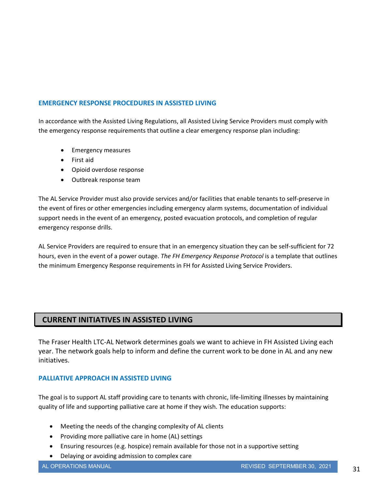#### <span id="page-30-0"></span>**EMERGENCY RESPONSE PROCEDURES IN ASSISTED LIVING**

In accordance with the Assisted Living Regulations, all Assisted Living Service Providers must comply with the emergency response requirements that outline a clear emergency response plan including:

- Emergency measures
- First aid
- Opioid overdose response
- Outbreak response team

The AL Service Provider must also provide services and/or facilities that enable tenants to self-preserve in the event of fires or other emergencies including emergency alarm systems, documentation of individual support needs in the event of an emergency, posted evacuation protocols, and completion of regular emergency response drills.

AL Service Providers are required to ensure that in an emergency situation they can be self-sufficient for 72 hours, even in the event of a power outage. *The FH Emergency Response Protocol* is a template that outlines the minimum Emergency Response requirements in FH for Assisted Living Service Providers.

# **CURRENT INITIATIVES IN ASSISTED LIVING**

The Fraser Health LTC-AL Network determines goals we want to achieve in FH Assisted Living each year. The network goals help to inform and define the current work to be done in AL and any new initiatives.

## **PALLIATIVE APPROACH IN ASSISTED LIVING**

The goal is to support AL staff providing care to tenants with chronic, life-limiting illnesses by maintaining quality of life and supporting palliative care at home if they wish. The education supports:

- Meeting the needs of the changing complexity of AL clients
- Providing more palliative care in home (AL) settings
- Ensuring resources (e.g. hospice) remain available for those not in a supportive setting
- Delaying or avoiding admission to complex care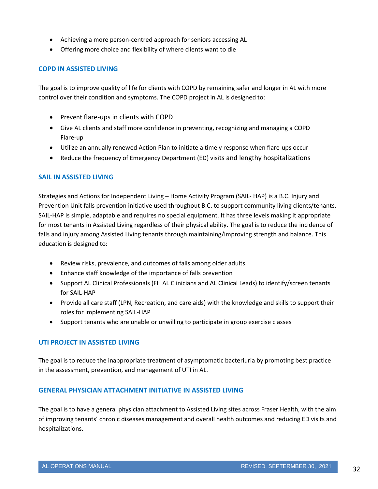- Achieving a more person-centred approach for seniors accessing AL
- Offering more choice and flexibility of where clients want to die

#### **COPD IN ASSISTED LIVING**

The goal is to improve quality of life for clients with COPD by remaining safer and longer in AL with more control over their condition and symptoms. The COPD project in AL is designed to:

- Prevent flare-ups in clients with COPD
- Give AL clients and staff more confidence in preventing, recognizing and managing a COPD Flare-up
- Utilize an annually renewed Action Plan to initiate a timely response when flare-ups occur
- Reduce the frequency of Emergency Department (ED) visits and lengthy hospitalizations

#### **SAIL IN ASSISTED LIVING**

Strategies and Actions for Independent Living – Home Activity Program (SAIL- HAP) is a B.C. Injury and Prevention Unit falls prevention initiative used throughout B.C. to support community living clients/tenants. SAIL-HAP is simple, adaptable and requires no special equipment. It has three levels making it appropriate for most tenants in Assisted Living regardless of their physical ability. The goal is to reduce the incidence of falls and injury among Assisted Living tenants through maintaining/improving strength and balance. This education is designed to:

- Review risks, prevalence, and outcomes of falls among older adults
- Enhance staff knowledge of the importance of falls prevention
- Support AL Clinical Professionals (FH AL Clinicians and AL Clinical Leads) to identify/screen tenants for SAIL-HAP
- Provide all care staff (LPN, Recreation, and care aids) with the knowledge and skills to support their roles for implementing SAIL-HAP
- Support tenants who are unable or unwilling to participate in group exercise classes

#### **UTI PROJECT IN ASSISTED LIVING**

The goal is to reduce the inappropriate treatment of asymptomatic bacteriuria by promoting best practice in the assessment, prevention, and management of UTI in AL.

#### **GENERAL PHYSICIAN ATTACHMENT INITIATIVE IN ASSISTED LIVING**

The goal is to have a general physician attachment to Assisted Living sites across Fraser Health, with the aim of improving tenants' chronic diseases management and overall health outcomes and reducing ED visits and hospitalizations.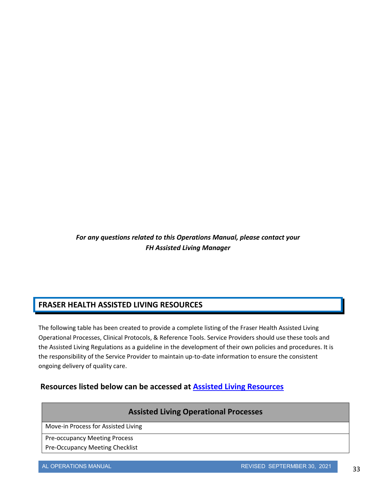*For any questions related to this Operations Manual, please contact your FH Assisted Living Manager*

# <span id="page-32-0"></span>**FRASER HEALTH ASSISTED LIVING RESOURCES**

The following table has been created to provide a complete listing of the Fraser Health Assisted Living Operational Processes, Clinical Protocols, & Reference Tools. Service Providers should use these tools and the Assisted Living Regulations as a guideline in the development of their own policies and procedures. It is the responsibility of the Service Provider to maintain up-to-date information to ensure the consistent ongoing delivery of quality care.

# **Resources listed below can be accessed at [Assisted Living Resources](https://www.fraserhealth.ca/health-topics-a-to-z/resources-for-assisted-living-providers/operation-manual)**

|                                | <b>Assisted Living Operational Processes</b> |
|--------------------------------|----------------------------------------------|
| in Process for Assisted Living |                                              |

Move-

Pre-occupancy Meeting Process Pre-Occupancy Meeting Checklist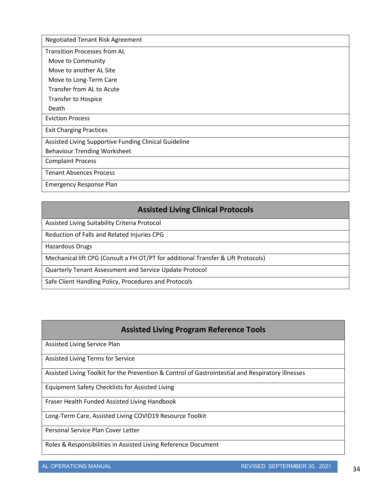| <b>Negotiated Tenant Risk Agreement</b>               |
|-------------------------------------------------------|
| <b>Transition Processes from AL</b>                   |
| Move to Community                                     |
| Move to another AL Site                               |
| Move to Long-Term Care                                |
| <b>Transfer from AL to Acute</b>                      |
| <b>Transfer to Hospice</b>                            |
| Death                                                 |
| <b>Eviction Process</b>                               |
| <b>Exit Charging Practices</b>                        |
| Assisted Living Supportive Funding Clinical Guideline |
| <b>Behaviour Trending Worksheet</b>                   |
| <b>Complaint Process</b>                              |
| <b>Tenant Absences Process</b>                        |
| <b>Emergency Response Plan</b>                        |

# **Assisted Living Clinical Protocols**

Assisted Living Suitability Criteria Protocol

Reduction of Falls and Related Injuries CPG

Hazardous Drugs

Mechanical lift CPG (Consult a FH OT/PT for additional Transfer & Lift Protocols)

Quarterly Tenant Assessment and Service Update Protocol

Safe Client Handling Policy, Procedures and Protocols

# **Assisted Living Program Reference Tools**

Assisted Living Service Plan

Assisted Living Terms for Service

Assisted Living Toolkit for the Prevention & Control of Gastrointestial and Respiratory illnesses

Equipment Safety Checklists for Assisted Living

Fraser Health Funded Assisted Living Handbook

Long-Term Care, Assisted Living COVID19 Resource Toolkit

Personal Service Plan Cover Letter

Roles & Responsibilities in Assisted Living Reference Document